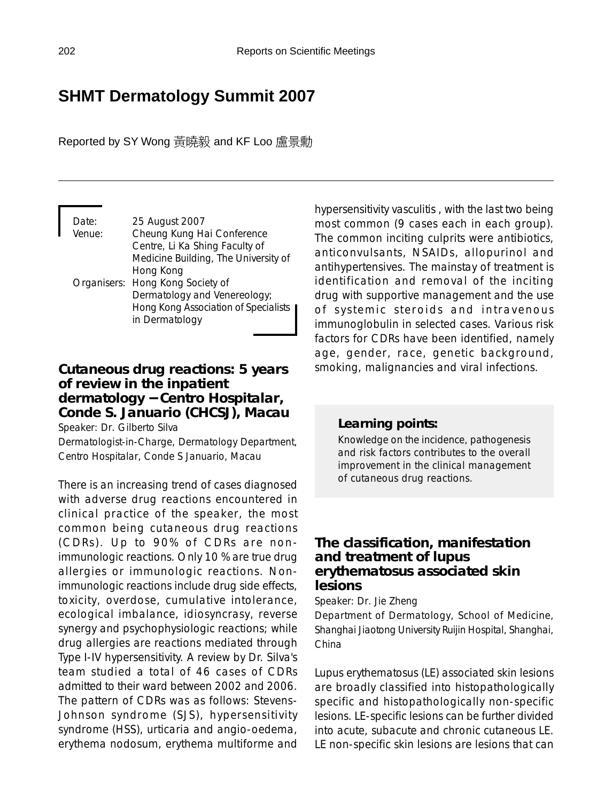# **SHMT Dermatology Summit 2007**

Reported by SY Wong 黃曉毅 and KF Loo 盧景勳

| Date:<br>Venue: | 25 August 2007<br>Cheung Kung Hai Conference |
|-----------------|----------------------------------------------|
|                 | Centre, Li Ka Shing Faculty of               |
|                 | Medicine Building, The University of         |
|                 | Hong Kong                                    |
|                 | Organisers: Hong Kong Society of             |
|                 | Dermatology and Venereology;                 |
|                 | Hong Kong Association of Specialists         |
|                 | in Dermatology                               |

## **Cutaneous drug reactions: 5 years of review in the inpatient dermatology** − **Centro Hospitalar, Conde S. Januario (CHCSJ), Macau**

Speaker: Dr. Gilberto Silva

Dermatologist-in-Charge, Dermatology Department, Centro Hospitalar, Conde S Januario, Macau

There is an increasing trend of cases diagnosed with adverse drug reactions encountered in clinical practice of the speaker, the most common being cutaneous drug reactions (CDRs). Up to 90% of CDRs are nonimmunologic reactions. Only 10 % are true drug allergies or immunologic reactions. Nonimmunologic reactions include drug side effects, toxicity, overdose, cumulative intolerance, ecological imbalance, idiosyncrasy, reverse synergy and psychophysiologic reactions; while drug allergies are reactions mediated through Type I-IV hypersensitivity. A review by Dr. Silva's team studied a total of 46 cases of CDRs admitted to their ward between 2002 and 2006. The pattern of CDRs was as follows: Stevens-Johnson syndrome (SJS), hypersensitivity syndrome (HSS), urticaria and angio-oedema, erythema nodosum, erythema multiforme and

hypersensitivity vasculitis , with the last two being most common (9 cases each in each group). The common inciting culprits were antibiotics, anticonvulsants, NSAIDs, allopurinol and antihypertensives. The mainstay of treatment is identification and removal of the inciting drug with supportive management and the use of systemic steroids and intravenous immunoglobulin in selected cases. Various risk factors for CDRs have been identified, namely age, gender, race, genetic background, smoking, malignancies and viral infections.

### *Learning points:*

Knowledge on the incidence, pathogenesis and risk factors contributes to the overall improvement in the clinical management of cutaneous drug reactions.

## **The classification, manifestation and treatment of lupus erythematosus associated skin lesions**

Speaker: Dr. Jie Zheng

Department of Dermatology, School of Medicine, Shanghai Jiaotong University Ruijin Hospital, Shanghai, China

Lupus erythematosus (LE) associated skin lesions are broadly classified into histopathologically specific and histopathologically non-specific lesions. LE-specific lesions can be further divided into acute, subacute and chronic cutaneous LE. LE non-specific skin lesions are lesions that can